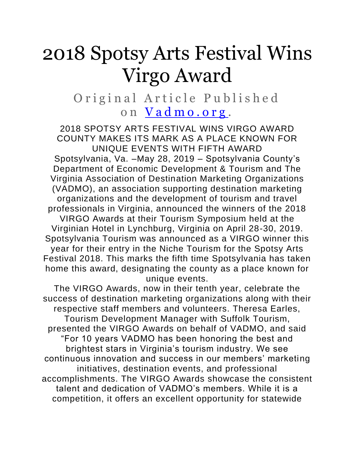## 2018 Spotsy Arts Festival Wins Virgo Award

Original Article Published on <u>Vadmo.org</u>.

2018 SPOTSY ARTS FESTIVAL WINS VIRGO AWARD COUNTY MAKES ITS MARK AS A PLACE KNOWN FOR UNIQUE EVENTS WITH FIFTH AWARD Spotsylvania, Va. –May 28, 2019 – Spotsylvania County's Department of Economic Development & Tourism and The Virginia Association of Destination Marketing Organizations (VADMO), an association supporting destination marketing organizations and the development of tourism and travel professionals in Virginia, announced the winners of the 2018 VIRGO Awards at their Tourism Symposium held at the Virginian Hotel in Lynchburg, Virginia on April 28-30, 2019. Spotsylvania Tourism was announced as a VIRGO winner this year for their entry in the Niche Tourism for the Spotsy Arts Festival 2018. This marks the fifth time Spotsylvania has taken home this award, designating the county as a place known for unique events.

The VIRGO Awards, now in their tenth year, celebrate the success of destination marketing organizations along with their respective staff members and volunteers. Theresa Earles, Tourism Development Manager with Suffolk Tourism, presented the VIRGO Awards on behalf of VADMO, and said "For 10 years VADMO has been honoring the best and brightest stars in Virginia's tourism industry. We see continuous innovation and success in our members' marketing initiatives, destination events, and professional accomplishments. The VIRGO Awards showcase the consistent talent and dedication of VADMO's members. While it is a competition, it offers an excellent opportunity for statewide